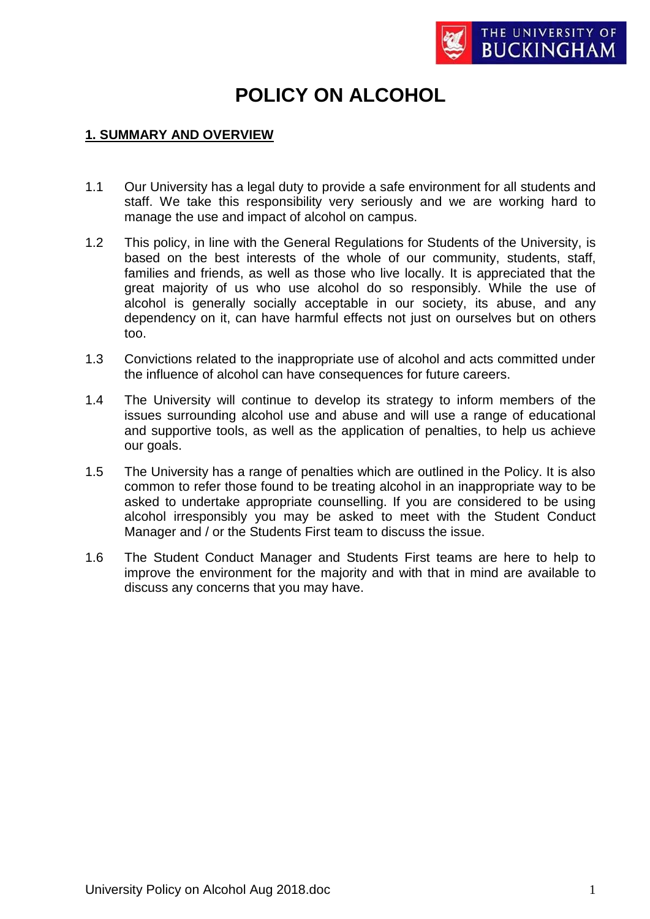

# **POLICY ON ALCOHOL**

#### **1. SUMMARY AND OVERVIEW**

- 1.1 Our University has a legal duty to provide a safe environment for all students and staff. We take this responsibility very seriously and we are working hard to manage the use and impact of alcohol on campus.
- 1.2 This policy, in line with the General Regulations for Students of the University, is based on the best interests of the whole of our community, students, staff, families and friends, as well as those who live locally. It is appreciated that the great majority of us who use alcohol do so responsibly. While the use of alcohol is generally socially acceptable in our society, its abuse, and any dependency on it, can have harmful effects not just on ourselves but on others too.
- 1.3 Convictions related to the inappropriate use of alcohol and acts committed under the influence of alcohol can have consequences for future careers.
- 1.4 The University will continue to develop its strategy to inform members of the issues surrounding alcohol use and abuse and will use a range of educational and supportive tools, as well as the application of penalties, to help us achieve our goals.
- 1.5 The University has a range of penalties which are outlined in the Policy. It is also common to refer those found to be treating alcohol in an inappropriate way to be asked to undertake appropriate counselling. If you are considered to be using alcohol irresponsibly you may be asked to meet with the Student Conduct Manager and / or the Students First team to discuss the issue.
- 1.6 The Student Conduct Manager and Students First teams are here to help to improve the environment for the majority and with that in mind are available to discuss any concerns that you may have.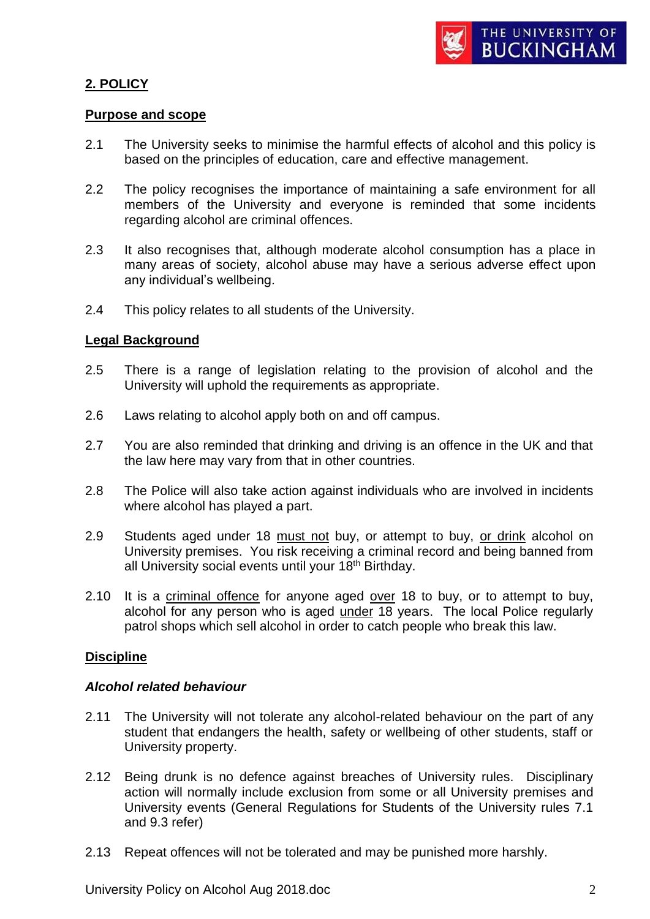## **2. POLICY**

#### **Purpose and scope**

- 2.1 The University seeks to minimise the harmful effects of alcohol and this policy is based on the principles of education, care and effective management.
- 2.2 The policy recognises the importance of maintaining a safe environment for all members of the University and everyone is reminded that some incidents regarding alcohol are criminal offences.
- 2.3 It also recognises that, although moderate alcohol consumption has a place in many areas of society, alcohol abuse may have a serious adverse effect upon any individual's wellbeing.
- 2.4 This policy relates to all students of the University.

#### **Legal Background**

- 2.5 There is a range of legislation relating to the provision of alcohol and the University will uphold the requirements as appropriate.
- 2.6 Laws relating to alcohol apply both on and off campus.
- 2.7 You are also reminded that drinking and driving is an offence in the UK and that the law here may vary from that in other countries.
- 2.8 The Police will also take action against individuals who are involved in incidents where alcohol has played a part.
- 2.9 Students aged under 18 must not buy, or attempt to buy, or drink alcohol on University premises. You risk receiving a criminal record and being banned from all University social events until your 18<sup>th</sup> Birthday.
- 2.10 It is a criminal offence for anyone aged over 18 to buy, or to attempt to buy, alcohol for any person who is aged under 18 years. The local Police regularly patrol shops which sell alcohol in order to catch people who break this law.

#### **Discipline**

#### *Alcohol related behaviour*

- 2.11 The University will not tolerate any alcohol-related behaviour on the part of any student that endangers the health, safety or wellbeing of other students, staff or University property.
- 2.12 Being drunk is no defence against breaches of University rules. Disciplinary action will normally include exclusion from some or all University premises and University events (General Regulations for Students of the University rules 7.1 and 9.3 refer)
- 2.13 Repeat offences will not be tolerated and may be punished more harshly.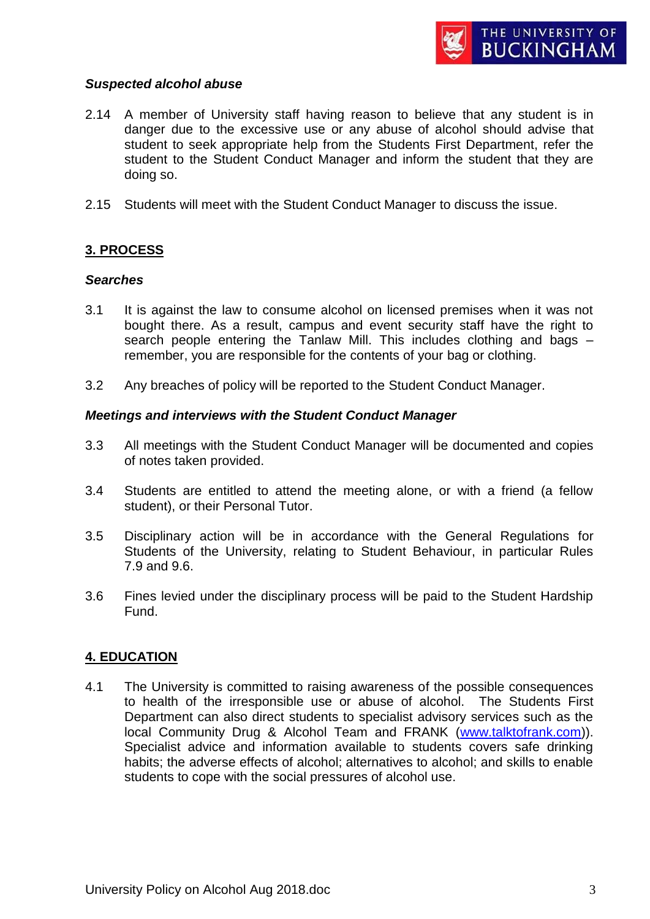#### *Suspected alcohol abuse*

- 2.14 A member of University staff having reason to believe that any student is in danger due to the excessive use or any abuse of alcohol should advise that student to seek appropriate help from the Students First Department, refer the student to the Student Conduct Manager and inform the student that they are doing so.
- 2.15 Students will meet with the Student Conduct Manager to discuss the issue.

## **3. PROCESS**

#### *Searches*

- 3.1 It is against the law to consume alcohol on licensed premises when it was not bought there. As a result, campus and event security staff have the right to search people entering the Tanlaw Mill. This includes clothing and bags – remember, you are responsible for the contents of your bag or clothing.
- 3.2 Any breaches of policy will be reported to the Student Conduct Manager.

#### *Meetings and interviews with the Student Conduct Manager*

- 3.3 All meetings with the Student Conduct Manager will be documented and copies of notes taken provided.
- 3.4 Students are entitled to attend the meeting alone, or with a friend (a fellow student), or their Personal Tutor.
- 3.5 Disciplinary action will be in accordance with the General Regulations for Students of the University, relating to Student Behaviour, in particular Rules 7.9 and 9.6.
- 3.6 Fines levied under the disciplinary process will be paid to the Student Hardship Fund.

## **4. EDUCATION**

4.1 The University is committed to raising awareness of the possible consequences to health of the irresponsible use or abuse of alcohol. The Students First Department can also direct students to specialist advisory services such as the local Community Drug & Alcohol Team and FRANK [\(www.talktofrank.com\)](http://www.talktofrank.com/)). Specialist advice and information available to students covers safe drinking habits; the adverse effects of alcohol; alternatives to alcohol; and skills to enable students to cope with the social pressures of alcohol use.